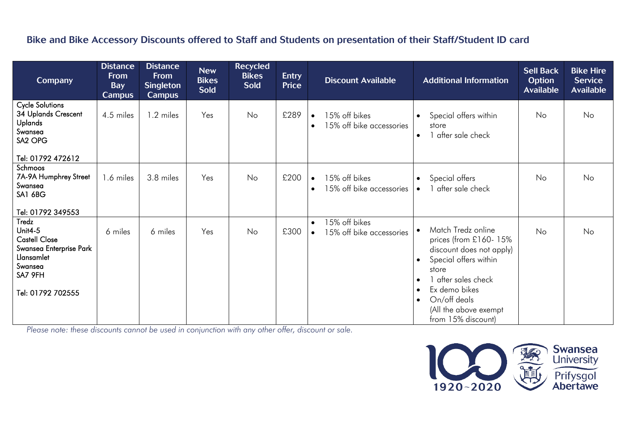## Bike and Bike Accessory Discounts offered to Staff and Students on presentation of their Staff/Student ID card

| <b>Company</b>                                                                                                                                       | <b>Distance</b><br><b>From</b><br><b>Bay</b><br><b>Campus</b> | <b>Distance</b><br><b>From</b><br><b>Singleton</b><br><b>Campus</b> | <b>New</b><br><b>Bikes</b><br><b>Sold</b> | <b>Recycled</b><br><b>Bikes</b><br><b>Sold</b> | <b>Entry</b><br><b>Price</b> | <b>Discount Available</b>                                           | <b>Additional Information</b>                                                                                                                                                                                                                                                   | <b>Sell Back</b><br><b>Option</b><br><b>Available</b> | <b>Bike Hire</b><br><b>Service</b><br><b>Available</b> |
|------------------------------------------------------------------------------------------------------------------------------------------------------|---------------------------------------------------------------|---------------------------------------------------------------------|-------------------------------------------|------------------------------------------------|------------------------------|---------------------------------------------------------------------|---------------------------------------------------------------------------------------------------------------------------------------------------------------------------------------------------------------------------------------------------------------------------------|-------------------------------------------------------|--------------------------------------------------------|
| <b>Cycle Solutions</b><br>34 Uplands Crescent<br><b>Uplands</b><br>Swansea<br>SA <sub>2</sub> OPG                                                    | 4.5 miles                                                     | 1.2 miles                                                           | Yes                                       | No                                             | £289                         | 15% off bikes<br>$\bullet$<br>15% off bike accessories<br>$\bullet$ | Special offers within<br>$\bullet$<br>store<br>after sale check<br>$\bullet$                                                                                                                                                                                                    | No                                                    | No                                                     |
| Tel: 01792 472612                                                                                                                                    |                                                               |                                                                     |                                           |                                                |                              |                                                                     |                                                                                                                                                                                                                                                                                 |                                                       |                                                        |
| Schmoos<br>7A-9A Humphrey Street<br>Swansea<br>SA1 6BG                                                                                               | 1.6 miles                                                     | 3.8 miles                                                           | Yes                                       | No                                             | £200                         | 15% off bikes<br>$\bullet$<br>15% off bike accessories<br>$\bullet$ | Special offers<br>$\bullet$<br>after sale check<br>$\bullet$                                                                                                                                                                                                                    | No                                                    | No                                                     |
| Tel: 01792 349553<br>Tredz<br>Unit $4-5$<br><b>Castell Close</b><br>Swansea Enterprise Park<br>Llansamlet<br>Swansea<br>SA7 9FH<br>Tel: 01792 702555 | 6 miles                                                       | 6 miles                                                             | Yes                                       | No                                             | £300                         | 15% off bikes<br>$\bullet$<br>15% off bike accessories<br>$\bullet$ | Match Tredz online<br>$\bullet$<br>prices (from £160-15%<br>discount does not apply)<br>Special offers within<br>$\bullet$<br>store<br>after sales check<br>$\bullet$<br>Ex demo bikes<br>$\bullet$<br>On/off deals<br>$\bullet$<br>(All the above exempt<br>from 15% discount) | No                                                    | No                                                     |

*Please note: these discounts cannot be used in conjunction with any other offer, discount or sale.*